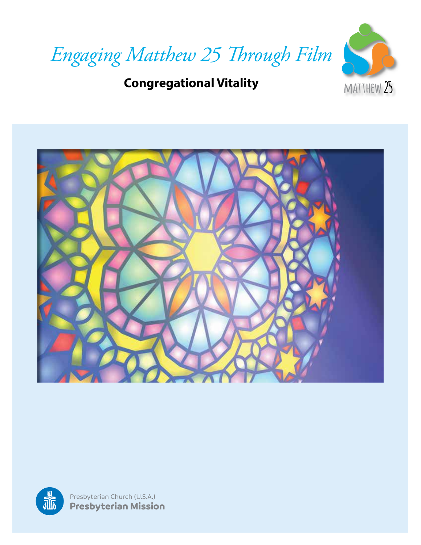

### **Congregational Vitality**



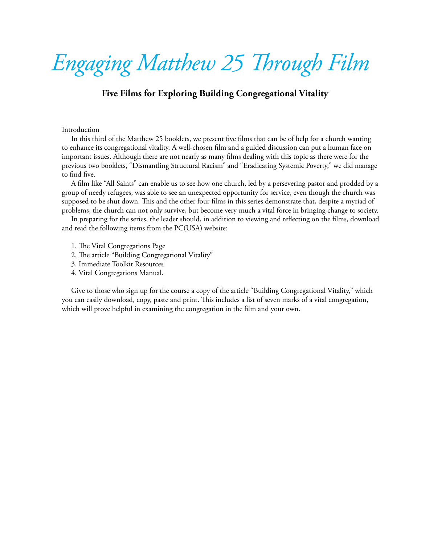# *Engaging Matthew 25 Through Film*

#### **Five Films for Exploring Building Congregational Vitality**

#### Introduction

In this third of the Matthew 25 booklets, we present five films that can be of help for a church wanting to enhance its congregational vitality. A well-chosen film and a guided discussion can put a human face on important issues. Although there are not nearly as many films dealing with this topic as there were for the previous two booklets, "Dismantling Structural Racism" and "Eradicating Systemic Poverty," we did manage to find five.

A film like "All Saints" can enable us to see how one church, led by a persevering pastor and prodded by a group of needy refugees, was able to see an unexpected opportunity for service, even though the church was supposed to be shut down. This and the other four films in this series demonstrate that, despite a myriad of problems, the church can not only survive, but become very much a vital force in bringing change to society.

In preparing for the series, the leader should, in addition to viewing and reflecting on the films, download and read the following items from the PC(USA) website:

- 1. The Vital Congregations Page
- 2. The article "Building Congregational Vitality"
- 3. Immediate Toolkit Resources
- 4. Vital Congregations Manual.

Give to those who sign up for the course a copy of the article "Building Congregational Vitality," which you can easily download, copy, paste and print. This includes a list of seven marks of a vital congregation, which will prove helpful in examining the congregation in the film and your own.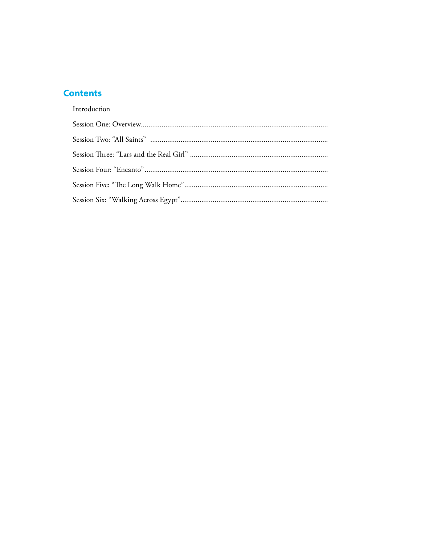### **Contents**

#### Introduction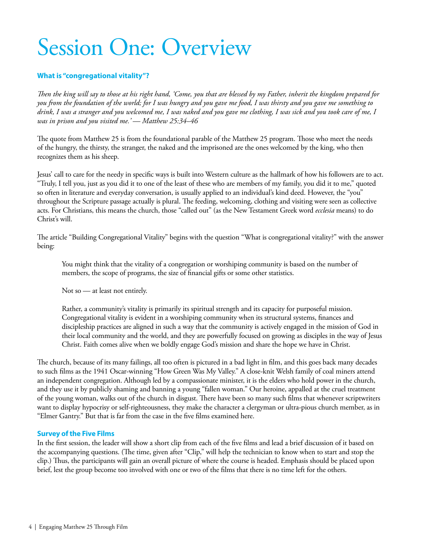# Session One: Overview

#### **What is "congregational vitality"?**

*Then the king will say to those at his right hand, 'Come, you that are blessed by my Father, inherit the kingdom prepared for you from the foundation of the world; for I was hungry and you gave me food, I was thirsty and you gave me something to drink, I was a stranger and you welcomed me, I was naked and you gave me clothing, I was sick and you took care of me, I was in prison and you visited me.' — Matthew 25:34–46*

The quote from Matthew 25 is from the foundational parable of the Matthew 25 program. Those who meet the needs of the hungry, the thirsty, the stranger, the naked and the imprisoned are the ones welcomed by the king, who then recognizes them as his sheep.

Jesus' call to care for the needy in specific ways is built into Western culture as the hallmark of how his followers are to act. "Truly, I tell you, just as you did it to one of the least of these who are members of my family, you did it to me," quoted so often in literature and everyday conversation, is usually applied to an individual's kind deed. However, the "you" throughout the Scripture passage actually is plural. The feeding, welcoming, clothing and visiting were seen as collective acts. For Christians, this means the church, those "called out" (as the New Testament Greek word *ecclesia* means) to do Christ's will.

The article "Building Congregational Vitality" begins with the question "What is congregational vitality?" with the answer being:

You might think that the vitality of a congregation or worshiping community is based on the number of members, the scope of programs, the size of financial gifts or some other statistics.

Not so — at least not entirely.

Rather, a community's vitality is primarily its spiritual strength and its capacity for purposeful mission. Congregational vitality is evident in a worshiping community when its structural systems, finances and discipleship practices are aligned in such a way that the community is actively engaged in the mission of God in their local community and the world, and they are powerfully focused on growing as disciples in the way of Jesus Christ. Faith comes alive when we boldly engage God's mission and share the hope we have in Christ.

The church, because of its many failings, all too often is pictured in a bad light in film, and this goes back many decades to such films as the 1941 Oscar-winning "How Green Was My Valley." A close-knit Welsh family of coal miners attend an independent congregation. Although led by a compassionate minister, it is the elders who hold power in the church, and they use it by publicly shaming and banning a young "fallen woman." Our heroine, appalled at the cruel treatment of the young woman, walks out of the church in disgust. There have been so many such films that whenever scriptwriters want to display hypocrisy or self-righteousness, they make the character a clergyman or ultra-pious church member, as in "Elmer Gantry." But that is far from the case in the five films examined here.

#### **Survey of the Five Films**

In the first session, the leader will show a short clip from each of the five films and lead a brief discussion of it based on the accompanying questions. (The time, given after "Clip," will help the technician to know when to start and stop the clip.) Thus, the participants will gain an overall picture of where the course is headed. Emphasis should be placed upon brief, lest the group become too involved with one or two of the films that there is no time left for the others.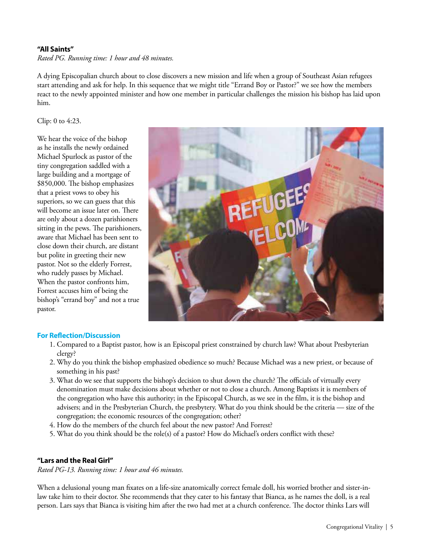#### **"All Saints"**

*Rated PG. Running time: 1 hour and 48 minutes.*

A dying Episcopalian church about to close discovers a new mission and life when a group of Southeast Asian refugees start attending and ask for help. In this sequence that we might title "Errand Boy or Pastor?" we see how the members react to the newly appointed minister and how one member in particular challenges the mission his bishop has laid upon him.

Clip: 0 to 4:23.

We hear the voice of the bishop as he installs the newly ordained Michael Spurlock as pastor of the tiny congregation saddled with a large building and a mortgage of \$850,000. The bishop emphasizes that a priest vows to obey his superiors, so we can guess that this will become an issue later on. There are only about a dozen parishioners sitting in the pews. The parishioners, aware that Michael has been sent to close down their church, are distant but polite in greeting their new pastor. Not so the elderly Forrest, who rudely passes by Michael. When the pastor confronts him, Forrest accuses him of being the bishop's "errand boy" and not a true pastor.



#### **For Reflection/Discussion**

- 1. Compared to a Baptist pastor, how is an Episcopal priest constrained by church law? What about Presbyterian clergy?
- 2. Why do you think the bishop emphasized obedience so much? Because Michael was a new priest, or because of something in his past?
- 3. What do we see that supports the bishop's decision to shut down the church? The officials of virtually every denomination must make decisions about whether or not to close a church. Among Baptists it is members of the congregation who have this authority; in the Episcopal Church, as we see in the film, it is the bishop and advisers; and in the Presbyterian Church, the presbytery. What do you think should be the criteria — size of the congregation; the economic resources of the congregation; other?
- 4. How do the members of the church feel about the new pastor? And Forrest?
- 5. What do you think should be the role(s) of a pastor? How do Michael's orders conflict with these?

#### **"Lars and the Real Girl"**

*Rated PG-13. Running time: 1 hour and 46 minutes.*

When a delusional young man fixates on a life-size anatomically correct female doll, his worried brother and sister-inlaw take him to their doctor. She recommends that they cater to his fantasy that Bianca, as he names the doll, is a real person. Lars says that Bianca is visiting him after the two had met at a church conference. The doctor thinks Lars will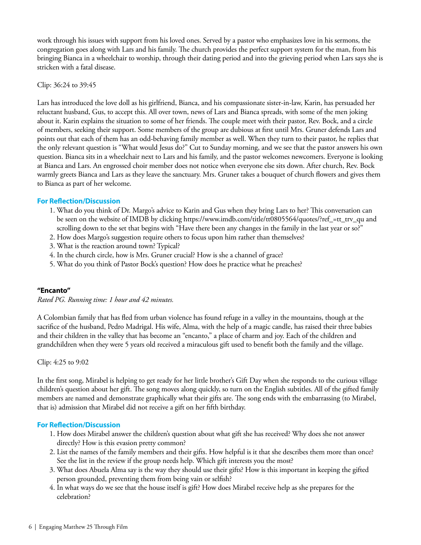work through his issues with support from his loved ones. Served by a pastor who emphasizes love in his sermons, the congregation goes along with Lars and his family. The church provides the perfect support system for the man, from his bringing Bianca in a wheelchair to worship, through their dating period and into the grieving period when Lars says she is stricken with a fatal disease.

#### Clip: 36:24 to 39:45

Lars has introduced the love doll as his girlfriend, Bianca, and his compassionate sister-in-law, Karin, has persuaded her reluctant husband, Gus, to accept this. All over town, news of Lars and Bianca spreads, with some of the men joking about it. Karin explains the situation to some of her friends. The couple meet with their pastor, Rev. Bock, and a circle of members, seeking their support. Some members of the group are dubious at first until Mrs. Gruner defends Lars and points out that each of them has an odd-behaving family member as well. When they turn to their pastor, he replies that the only relevant question is "What would Jesus do?" Cut to Sunday morning, and we see that the pastor answers his own question. Bianca sits in a wheelchair next to Lars and his family, and the pastor welcomes newcomers. Everyone is looking at Bianca and Lars. An engrossed choir member does not notice when everyone else sits down. After church, Rev. Bock warmly greets Bianca and Lars as they leave the sanctuary. Mrs. Gruner takes a bouquet of church flowers and gives them to Bianca as part of her welcome.

#### **For Reflection/Discussion**

- 1. What do you think of Dr. Margo's advice to Karin and Gus when they bring Lars to her? This conversation can be seen on the website of IMDB by clicking https://www.imdb.com/title/tt0805564/quotes/?ref\_=tt\_trv\_qu and scrolling down to the set that begins with "Have there been any changes in the family in the last year or so?"
- 2. How does Margo's suggestion require others to focus upon him rather than themselves?
- 3. What is the reaction around town? Typical?
- 4. In the church circle, how is Mrs. Gruner crucial? How is she a channel of grace?
- 5. What do you think of Pastor Bock's question? How does he practice what he preaches?

#### **"Encanto"**

*Rated PG. Running time: 1 hour and 42 minutes.*

A Colombian family that has fled from urban violence has found refuge in a valley in the mountains, though at the sacrifice of the husband, Pedro Madrigal. His wife, Alma, with the help of a magic candle, has raised their three babies and their children in the valley that has become an "encanto," a place of charm and joy. Each of the children and grandchildren when they were 5 years old received a miraculous gift used to benefit both the family and the village.

#### Clip: 4:25 to 9:02

In the first song, Mirabel is helping to get ready for her little brother's Gift Day when she responds to the curious village children's question about her gift. The song moves along quickly, so turn on the English subtitles. All of the gifted family members are named and demonstrate graphically what their gifts are. The song ends with the embarrassing (to Mirabel, that is) admission that Mirabel did not receive a gift on her fifth birthday.

- 1. How does Mirabel answer the children's question about what gift she has received? Why does she not answer directly? How is this evasion pretty common?
- 2. List the names of the family members and their gifts. How helpful is it that she describes them more than once? See the list in the review if the group needs help. Which gift interests you the most?
- 3. What does Abuela Alma say is the way they should use their gifts? How is this important in keeping the gifted person grounded, preventing them from being vain or selfish?
- 4. In what ways do we see that the house itself is gift? How does Mirabel receive help as she prepares for the celebration?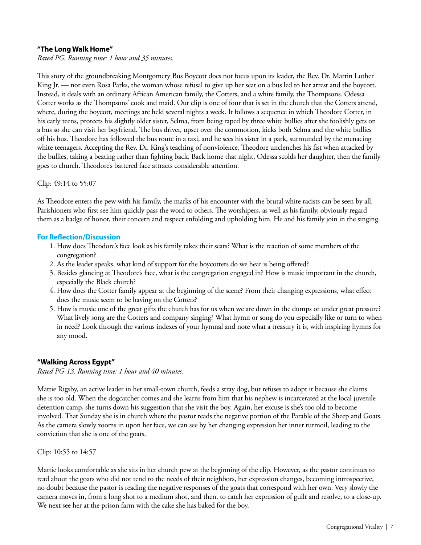#### **"The Long Walk Home"**

*Rated PG. Running time: 1 hour and 35 minutes.*

This story of the groundbreaking Montgomery Bus Boycott does not focus upon its leader, the Rev. Dr. Martin Luther King Jr. — nor even Rosa Parks, the woman whose refusal to give up her seat on a bus led to her arrest and the boycott. Instead, it deals with an ordinary African American family, the Cotters, and a white family, the Thompsons. Odessa Cotter works as the Thompsons' cook and maid. Our clip is one of four that is set in the church that the Cotters attend, where, during the boycott, meetings are held several nights a week. It follows a sequence in which Theodore Cotter, in his early teens, protects his slightly older sister, Selma, from being raped by three white bullies after she foolishly gets on a bus so she can visit her boyfriend. The bus driver, upset over the commotion, kicks both Selma and the white bullies off his bus. Theodore has followed the bus route in a taxi, and he sees his sister in a park, surrounded by the menacing white teenagers. Accepting the Rev. Dr. King's teaching of nonviolence, Theodore unclenches his fist when attacked by the bullies, taking a beating rather than fighting back. Back home that night, Odessa scolds her daughter, then the family goes to church. Theodore's battered face attracts considerable attention.

Clip: 49:14 to 55:07

As Theodore enters the pew with his family, the marks of his encounter with the brutal white racists can be seen by all. Parishioners who first see him quickly pass the word to others. The worshipers, as well as his family, obviously regard them as a badge of honor, their concern and respect enfolding and upholding him. He and his family join in the singing.

#### **For Reflection/Discussion**

- 1. How does Theodore's face look as his family takes their seats? What is the reaction of some members of the congregation?
- 2. As the leader speaks, what kind of support for the boycotters do we hear is being offered?
- 3. Besides glancing at Theodore's face, what is the congregation engaged in? How is music important in the church, especially the Black church?
- 4. How does the Cotter family appear at the beginning of the scene? From their changing expressions, what effect does the music seem to be having on the Cotters?
- 5. How is music one of the great gifts the church has for us when we are down in the dumps or under great pressure? What lively song are the Cotters and company singing? What hymn or song do you especially like or turn to when in need? Look through the various indexes of your hymnal and note what a treasury it is, with inspiring hymns for any mood.

#### **"Walking Across Egypt"**

*Rated PG-13. Running time: 1 hour and 40 minutes.*

Mattie Rigsby, an active leader in her small-town church, feeds a stray dog, but refuses to adopt it because she claims she is too old. When the dogcatcher comes and she learns from him that his nephew is incarcerated at the local juvenile detention camp, she turns down his suggestion that she visit the boy. Again, her excuse is she's too old to become involved. That Sunday she is in church where the pastor reads the negative portion of the Parable of the Sheep and Goats. As the camera slowly zooms in upon her face, we can see by her changing expression her inner turmoil, leading to the conviction that she is one of the goats.

Clip: 10:55 to 14:57

Mattie looks comfortable as she sits in her church pew at the beginning of the clip. However, as the pastor continues to read about the goats who did not tend to the needs of their neighbors, her expression changes, becoming introspective, no doubt because the pastor is reading the negative responses of the goats that correspond with her own. Very slowly the camera moves in, from a long shot to a medium shot, and then, to catch her expression of guilt and resolve, to a close-up. We next see her at the prison farm with the cake she has baked for the boy.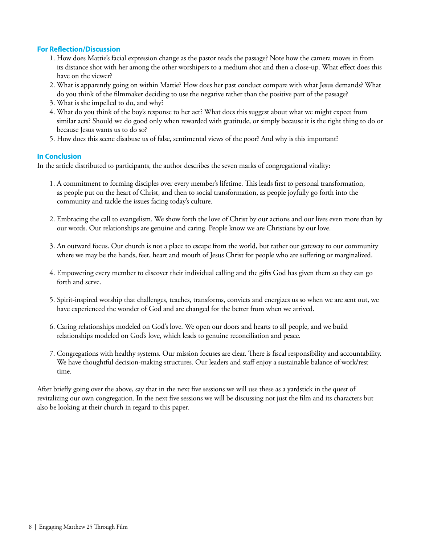#### **For Reflection/Discussion**

- 1. How does Mattie's facial expression change as the pastor reads the passage? Note how the camera moves in from its distance shot with her among the other worshipers to a medium shot and then a close-up. What effect does this have on the viewer?
- 2. What is apparently going on within Mattie? How does her past conduct compare with what Jesus demands? What do you think of the filmmaker deciding to use the negative rather than the positive part of the passage?
- 3. What is she impelled to do, and why?
- 4. What do you think of the boy's response to her act? What does this suggest about what we might expect from similar acts? Should we do good only when rewarded with gratitude, or simply because it is the right thing to do or because Jesus wants us to do so?
- 5. How does this scene disabuse us of false, sentimental views of the poor? And why is this important?

#### **In Conclusion**

In the article distributed to participants, the author describes the seven marks of congregational vitality:

- 1. A commitment to forming disciples over every member's lifetime. This leads first to personal transformation, as people put on the heart of Christ, and then to social transformation, as people joyfully go forth into the community and tackle the issues facing today's culture.
- 2. Embracing the call to evangelism. We show forth the love of Christ by our actions and our lives even more than by our words. Our relationships are genuine and caring. People know we are Christians by our love.
- 3. An outward focus. Our church is not a place to escape from the world, but rather our gateway to our community where we may be the hands, feet, heart and mouth of Jesus Christ for people who are suffering or marginalized.
- 4. Empowering every member to discover their individual calling and the gifts God has given them so they can go forth and serve.
- 5. Spirit-inspired worship that challenges, teaches, transforms, convicts and energizes us so when we are sent out, we have experienced the wonder of God and are changed for the better from when we arrived.
- 6. Caring relationships modeled on God's love. We open our doors and hearts to all people, and we build relationships modeled on God's love, which leads to genuine reconciliation and peace.
- 7. Congregations with healthy systems. Our mission focuses are clear. There is fiscal responsibility and accountability. We have thoughtful decision-making structures. Our leaders and staff enjoy a sustainable balance of work/rest time.

After briefly going over the above, say that in the next five sessions we will use these as a yardstick in the quest of revitalizing our own congregation. In the next five sessions we will be discussing not just the film and its characters but also be looking at their church in regard to this paper.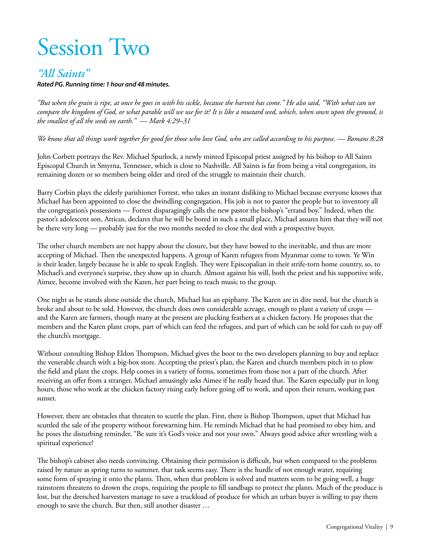# Session Two

### *"All Saints"*

*Rated PG. Running time: 1 hour and 48 minutes.*

*"But when the grain is ripe, at once he goes in with his sickle, because the harvest has come." He also said, "With what can we*  compare the kingdom of God, or what parable will we use for it? It is like a mustard seed, which, when sown upon the ground, is *the smallest of all the seeds on earth." — Mark 4:29–31*

*We know that all things work together for good for those who love God, who are called according to his purpose. — Romans 8:28*

John Corbett portrays the Rev. Michael Spurlock, a newly minted Episcopal priest assigned by his bishop to All Saints Episcopal Church in Smyrna, Tennessee, which is close to Nashville. All Saints is far from being a vital congregation, its remaining dozen or so members being older and tired of the struggle to maintain their church.

Barry Corbin plays the elderly parishioner Forrest, who takes an instant disliking to Michael because everyone knows that Michael has been appointed to close the dwindling congregation. His job is not to pastor the people but to inventory all the congregation's possessions — Forrest disparagingly calls the new pastor the bishop's "errand boy." Indeed, when the pastor's adolescent son, Atticus, declares that he will be bored in such a small place, Michael assures him that they will not be there very long — probably just for the two months needed to close the deal with a prospective buyer.

The other church members are not happy about the closure, but they have bowed to the inevitable, and thus are more accepting of Michael. Then the unexpected happens. A group of Karen refugees from Myanmar come to town. Ye Win is their leader, largely because he is able to speak English. They were Episcopalian in their strife-torn home country, so, to Michael's and everyone's surprise, they show up in church. Almost against his will, both the priest and his supportive wife, Aimee, become involved with the Karen, her part being to teach music to the group.

One night as he stands alone outside the church, Michael has an epiphany. The Karen are in dire need, but the church is broke and about to be sold. However, the church does own considerable acreage, enough to plant a variety of crops and the Karen are farmers, though many at the present are plucking feathers at a chicken factory. He proposes that the members and the Karen plant crops, part of which can feed the refugees, and part of which can be sold for cash to pay off the church's mortgage.

Without consulting Bishop Eldon Thompson, Michael gives the boot to the two developers planning to buy and replace the venerable church with a big-box store. Accepting the priest's plan, the Karen and church members pitch in to plow the field and plant the crops. Help comes in a variety of forms, sometimes from those not a part of the church. After receiving an offer from a stranger, Michael amusingly asks Aimee if he really heard that. The Karen especially put in long hours, those who work at the chicken factory rising early before going off to work, and upon their return, working past sunset.

However, there are obstacles that threaten to scuttle the plan. First, there is Bishop Thompson, upset that Michael has scuttled the sale of the property without forewarning him. He reminds Michael that he had promised to obey him, and he poses the disturbing reminder, "Be sure it's God's voice and not your own." Always good advice after wrestling with a spiritual experience!

The bishop's cabinet also needs convincing. Obtaining their permission is difficult, but when compared to the problems raised by nature as spring turns to summer, that task seems easy. There is the hurdle of not enough water, requiring some form of spraying it onto the plants. Then, when that problem is solved and matters seem to be going well, a huge rainstorm threatens to drown the crops, requiring the people to fill sandbags to protect the plants. Much of the produce is lost, but the drenched harvesters manage to save a truckload of produce for which an urban buyer is willing to pay them enough to save the church. But then, still another disaster …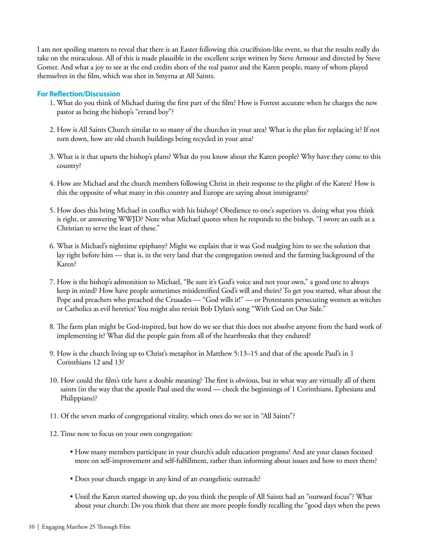I am not spoiling matters to reveal that there is an Easter following this crucifixion-like event, so that the results really do take on the miraculous. All of this is made plausible in the excellent script written by Steve Armour and directed by Steve Gomer. And what a joy to see at the end credits shots of the real pastor and the Karen people, many of whom played themselves in the film, which was shot in Smyrna at All Saints.

- 1. What do you think of Michael during the first part of the film? How is Forrest accurate when he charges the new pastor as being the bishop's "errand boy"?
- 2. How is All Saints Church similar to so many of the churches in your area? What is the plan for replacing it? If not torn down, how are old church buildings being recycled in your area?
- 3. What is it that upsets the bishop's plans? What do you know about the Karen people? Why have they come to this country?
- 4. How are Michael and the church members following Christ in their response to the plight of the Karen? How is this the opposite of what many in this country and Europe are saying about immigrants?
- 5. How does this bring Michael in conflict with his bishop? Obedience to one's superiors vs. doing what you think is right, or answering WWJD? Note what Michael quotes when he responds to the bishop, "I swore an oath as a Christian to serve the least of these."
- 6. What is Michael's nighttime epiphany? Might we explain that it was God nudging him to see the solution that lay right before him — that is, in the very land that the congregation owned and the farming background of the Karen?
- 7. How is the bishop's admonition to Michael, "Be sure it's God's voice and not your own," a good one to always keep in mind? How have people sometimes misidentified God's will and theirs? To get you started, what about the Pope and preachers who preached the Crusades — "God wills it!" — or Protestants persecuting women as witches or Catholics as evil heretics? You might also revisit Bob Dylan's song "With God on Our Side."
- 8. The farm plan might be God-inspired, but how do we see that this does not absolve anyone from the hard work of implementing it? What did the people gain from all of the heartbreaks that they endured?
- 9. How is the church living up to Christ's metaphor in Matthew 5:13–15 and that of the apostle Paul's in 1 Corinthians 12 and 13?
- 10. How could the film's title have a double meaning? The first is obvious, but in what way are virtually all of them saints (in the way that the apostle Paul used the word — check the beginnings of 1 Corinthians, Ephesians and Philippians)?
- 11. Of the seven marks of congregational vitality, which ones do we see in "All Saints"?
- 12. Time now to focus on your own congregation:
	- How many members participate in your church's adult education programs? And are your classes focused more on self-improvement and self-fulfillment, rather than informing about issues and how to meet them?
	- Does your church engage in any kind of an evangelistic outreach?
	- Until the Karen started showing up, do you think the people of All Saints had an "outward focus"? What about your church: Do you think that there are more people fondly recalling the "good days when the pews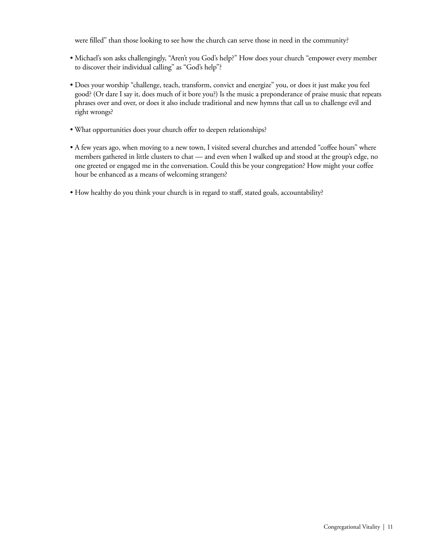were filled" than those looking to see how the church can serve those in need in the community?

- Michael's son asks challengingly, "Aren't you God's help?" How does your church "empower every member to discover their individual calling" as "God's help"?
- Does your worship "challenge, teach, transform, convict and energize" you, or does it just make you feel good? (Or dare I say it, does much of it bore you?) Is the music a preponderance of praise music that repeats phrases over and over, or does it also include traditional and new hymns that call us to challenge evil and right wrongs?
- What opportunities does your church offer to deepen relationships?
- A few years ago, when moving to a new town, I visited several churches and attended "coffee hours" where members gathered in little clusters to chat — and even when I walked up and stood at the group's edge, no one greeted or engaged me in the conversation. Could this be your congregation? How might your coffee hour be enhanced as a means of welcoming strangers?
- How healthy do you think your church is in regard to staff, stated goals, accountability?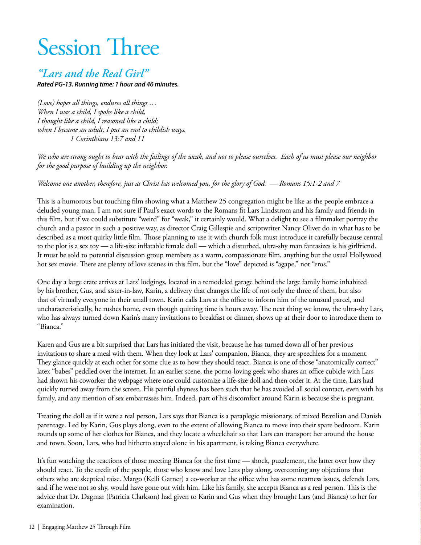# Session Three

### *"Lars and the Real Girl"*

*Rated PG-13. Running time: 1 hour and 46 minutes.*

*(Love) hopes all things, endures all things … When I was a child, I spoke like a child, I thought like a child, I reasoned like a child; when I became an adult, I put an end to childish ways. 1 Corinthians 13:7 and 11*

*We who are strong ought to bear with the failings of the weak, and not to please ourselves. Each of us must please our neighbor for the good purpose of building up the neighbor.*

*Welcome one another, therefore, just as Christ has welcomed you, for the glory of God. — Romans 15:1-2 and 7*

This is a humorous but touching film showing what a Matthew 25 congregation might be like as the people embrace a deluded young man. I am not sure if Paul's exact words to the Romans fit Lars Lindstrom and his family and friends in this film, but if we could substitute "weird" for "weak," it certainly would. What a delight to see a filmmaker portray the church and a pastor in such a positive way, as director Craig Gillespie and scriptwriter Nancy Oliver do in what has to be described as a most quirky little film. Those planning to use it with church folk must introduce it carefully because central to the plot is a sex toy — a life-size inflatable female doll — which a disturbed, ultra-shy man fantasizes is his girlfriend. It must be sold to potential discussion group members as a warm, compassionate film, anything but the usual Hollywood hot sex movie. There are plenty of love scenes in this film, but the "love" depicted is "agape," not "eros."

One day a large crate arrives at Lars' lodgings, located in a remodeled garage behind the large family home inhabited by his brother, Gus, and sister-in-law, Karin, a delivery that changes the life of not only the three of them, but also that of virtually everyone in their small town. Karin calls Lars at the office to inform him of the unusual parcel, and uncharacteristically, he rushes home, even though quitting time is hours away. The next thing we know, the ultra-shy Lars, who has always turned down Karin's many invitations to breakfast or dinner, shows up at their door to introduce them to "Bianca."

Karen and Gus are a bit surprised that Lars has initiated the visit, because he has turned down all of her previous invitations to share a meal with them. When they look at Lars' companion, Bianca, they are speechless for a moment. They glance quickly at each other for some clue as to how they should react. Bianca is one of those "anatomically correct" latex "babes" peddled over the internet. In an earlier scene, the porno-loving geek who shares an office cubicle with Lars had shown his coworker the webpage where one could customize a life-size doll and then order it. At the time, Lars had quickly turned away from the screen. His painful shyness has been such that he has avoided all social contact, even with his family, and any mention of sex embarrasses him. Indeed, part of his discomfort around Karin is because she is pregnant.

Treating the doll as if it were a real person, Lars says that Bianca is a paraplegic missionary, of mixed Brazilian and Danish parentage. Led by Karin, Gus plays along, even to the extent of allowing Bianca to move into their spare bedroom. Karin rounds up some of her clothes for Bianca, and they locate a wheelchair so that Lars can transport her around the house and town. Soon, Lars, who had hitherto stayed alone in his apartment, is taking Bianca everywhere.

It's fun watching the reactions of those meeting Bianca for the first time — shock, puzzlement, the latter over how they should react. To the credit of the people, those who know and love Lars play along, overcoming any objections that others who are skeptical raise. Margo (Kelli Garner) a co-worker at the office who has some neatness issues, defends Lars, and if he were not so shy, would have gone out with him. Like his family, she accepts Bianca as a real person. This is the advice that Dr. Dagmar (Patricia Clarkson) had given to Karin and Gus when they brought Lars (and Bianca) to her for examination.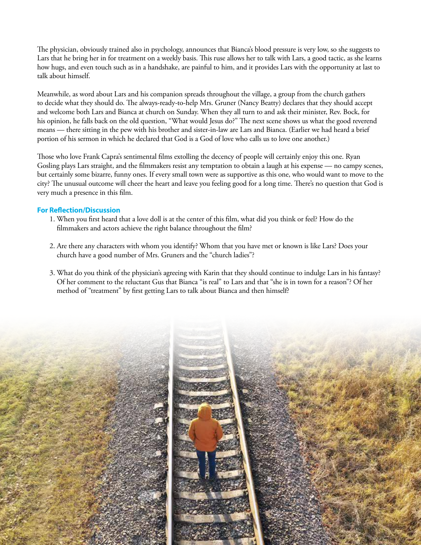The physician, obviously trained also in psychology, announces that Bianca's blood pressure is very low, so she suggests to Lars that he bring her in for treatment on a weekly basis. This ruse allows her to talk with Lars, a good tactic, as she learns how hugs, and even touch such as in a handshake, are painful to him, and it provides Lars with the opportunity at last to talk about himself.

Meanwhile, as word about Lars and his companion spreads throughout the village, a group from the church gathers to decide what they should do. The always-ready-to-help Mrs. Gruner (Nancy Beatty) declares that they should accept and welcome both Lars and Bianca at church on Sunday. When they all turn to and ask their minister, Rev. Bock, for his opinion, he falls back on the old question, "What would Jesus do?" The next scene shows us what the good reverend means — there sitting in the pew with his brother and sister-in-law are Lars and Bianca. (Earlier we had heard a brief portion of his sermon in which he declared that God is a God of love who calls us to love one another.)

Those who love Frank Capra's sentimental films extolling the decency of people will certainly enjoy this one. Ryan Gosling plays Lars straight, and the filmmakers resist any temptation to obtain a laugh at his expense — no campy scenes, but certainly some bizarre, funny ones. If every small town were as supportive as this one, who would want to move to the city? The unusual outcome will cheer the heart and leave you feeling good for a long time. There's no question that God is very much a presence in this film.

- 1. When you first heard that a love doll is at the center of this film, what did you think or feel? How do the filmmakers and actors achieve the right balance throughout the film?
- 2. Are there any characters with whom you identify? Whom that you have met or known is like Lars? Does your church have a good number of Mrs. Gruners and the "church ladies"?
- 3. What do you think of the physician's agreeing with Karin that they should continue to indulge Lars in his fantasy? Of her comment to the reluctant Gus that Bianca "is real" to Lars and that "she is in town for a reason"? Of her method of "treatment" by first getting Lars to talk about Bianca and then himself?

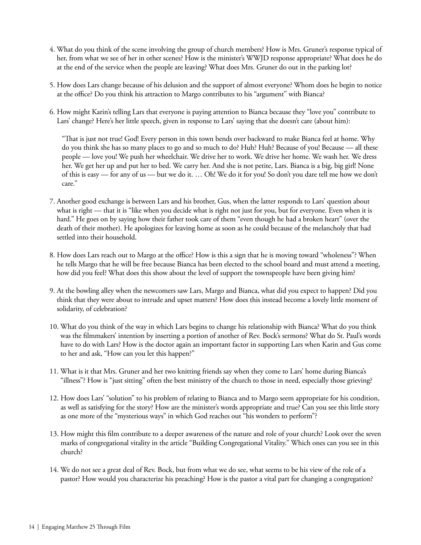- 4. What do you think of the scene involving the group of church members? How is Mrs. Gruner's response typical of her, from what we see of her in other scenes? How is the minister's WWJD response appropriate? What does he do at the end of the service when the people are leaving? What does Mrs. Gruner do out in the parking lot?
- 5. How does Lars change because of his delusion and the support of almost everyone? Whom does he begin to notice at the office? Do you think his attraction to Margo contributes to his "argument" with Bianca?
- 6. How might Karin's telling Lars that everyone is paying attention to Bianca because they "love you" contribute to Lars' change? Here's her little speech, given in response to Lars' saying that she doesn't care (about him):

 "That is just not true! God! Every person in this town bends over backward to make Bianca feel at home. Why do you think she has so many places to go and so much to do? Huh? Huh? Because of you! Because — all these people — love you! We push her wheelchair. We drive her to work. We drive her home. We wash her. We dress her. We get her up and put her to bed. We carry her. And she is not petite, Lars. Bianca is a big, big girl! None of this is easy — for any of us — but we do it. … Oh! We do it for you! So don't you dare tell me how we don't care."

- 7. Another good exchange is between Lars and his brother, Gus, when the latter responds to Lars' question about what is right — that it is "like when you decide what is right not just for you, but for everyone. Even when it is hard." He goes on by saying how their father took care of them "even though he had a broken heart" (over the death of their mother). He apologizes for leaving home as soon as he could because of the melancholy that had settled into their household.
- 8. How does Lars reach out to Margo at the office? How is this a sign that he is moving toward "wholeness"? When he tells Margo that he will be free because Bianca has been elected to the school board and must attend a meeting, how did you feel? What does this show about the level of support the townspeople have been giving him?
- 9. At the bowling alley when the newcomers saw Lars, Margo and Bianca, what did you expect to happen? Did you think that they were about to intrude and upset matters? How does this instead become a lovely little moment of solidarity, of celebration?
- 10. What do you think of the way in which Lars begins to change his relationship with Bianca? What do you think was the filmmakers' intention by inserting a portion of another of Rev. Bock's sermons? What do St. Paul's words have to do with Lars? How is the doctor again an important factor in supporting Lars when Karin and Gus come to her and ask, "How can you let this happen?"
- 11. What is it that Mrs. Gruner and her two knitting friends say when they come to Lars' home during Bianca's "illness"? How is "just sitting" often the best ministry of the church to those in need, especially those grieving?
- 12. How does Lars' "solution" to his problem of relating to Bianca and to Margo seem appropriate for his condition, as well as satisfying for the story? How are the minister's words appropriate and true? Can you see this little story as one more of the "mysterious ways" in which God reaches out "his wonders to perform"?
- 13. How might this film contribute to a deeper awareness of the nature and role of your church? Look over the seven marks of congregational vitality in the article "Building Congregational Vitality." Which ones can you see in this church?
- 14. We do not see a great deal of Rev. Bock, but from what we do see, what seems to be his view of the role of a pastor? How would you characterize his preaching? How is the pastor a vital part for changing a congregation?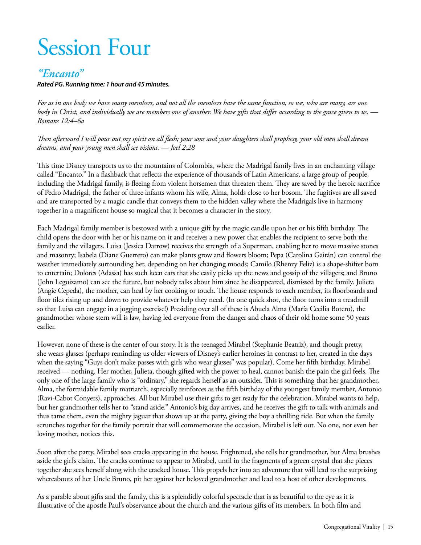# Session Four

### *"Encanto"*

#### *Rated PG. Running time: 1 hour and 45 minutes.*

*For as in one body we have many members, and not all the members have the same function, so we, who are many, are one body in Christ, and individually we are members one of another. We have gifts that differ according to the grace given to us. — Romans 12:4–6a*

*Then afterward I will pour out my spirit on all flesh; your sons and your daughters shall prophesy, your old men shall dream dreams, and your young men shall see visions. — Joel 2:28*

This time Disney transports us to the mountains of Colombia, where the Madrigal family lives in an enchanting village called "Encanto." In a flashback that reflects the experience of thousands of Latin Americans, a large group of people, including the Madrigal family, is fleeing from violent horsemen that threaten them. They are saved by the heroic sacrifice of Pedro Madrigal, the father of three infants whom his wife, Alma, holds close to her bosom. The fugitives are all saved and are transported by a magic candle that conveys them to the hidden valley where the Madrigals live in harmony together in a magnificent house so magical that it becomes a character in the story.

Each Madrigal family member is bestowed with a unique gift by the magic candle upon her or his fifth birthday. The child opens the door with her or his name on it and receives a new power that enables the recipient to serve both the family and the villagers. Luisa (Jessica Darrow) receives the strength of a Superman, enabling her to move massive stones and masonry; Isabela (Diane Guerrero) can make plants grow and flowers bloom; Pepa (Carolina Gaitán) can control the weather immediately surrounding her, depending on her changing moods; Camilo (Rhenzy Feliz) is a shape-shifter born to entertain; Dolores (Adassa) has such keen ears that she easily picks up the news and gossip of the villagers; and Bruno (John Leguizamo) can see the future, but nobody talks about him since he disappeared, dismissed by the family. Julieta (Angie Cepeda), the mother, can heal by her cooking or touch. The house responds to each member, its floorboards and floor tiles rising up and down to provide whatever help they need. (In one quick shot, the floor turns into a treadmill so that Luisa can engage in a jogging exercise!) Presiding over all of these is Abuela Alma (María Cecilia Botero), the grandmother whose stern will is law, having led everyone from the danger and chaos of their old home some 50 years earlier.

However, none of these is the center of our story. It is the teenaged Mirabel (Stephanie Beatriz), and though pretty, she wears glasses (perhaps reminding us older viewers of Disney's earlier heroines in contrast to her, created in the days when the saying "Guys don't make passes with girls who wear glasses" was popular). Come her fifth birthday, Mirabel received — nothing. Her mother, Julieta, though gifted with the power to heal, cannot banish the pain the girl feels. The only one of the large family who is "ordinary," she regards herself as an outsider. This is something that her grandmother, Alma, the formidable family matriarch, especially reinforces as the fifth birthday of the youngest family member, Antonio (Ravi-Cabot Conyers), approaches. All but Mirabel use their gifts to get ready for the celebration. Mirabel wants to help, but her grandmother tells her to "stand aside." Antonio's big day arrives, and he receives the gift to talk with animals and thus tame them, even the mighty jaguar that shows up at the party, giving the boy a thrilling ride. But when the family scrunches together for the family portrait that will commemorate the occasion, Mirabel is left out. No one, not even her loving mother, notices this.

Soon after the party, Mirabel sees cracks appearing in the house. Frightened, she tells her grandmother, but Alma brushes aside the girl's claim. The cracks continue to appear to Mirabel, until in the fragments of a green crystal that she pieces together she sees herself along with the cracked house. This propels her into an adventure that will lead to the surprising whereabouts of her Uncle Bruno, pit her against her beloved grandmother and lead to a host of other developments.

As a parable about gifts and the family, this is a splendidly colorful spectacle that is as beautiful to the eye as it is illustrative of the apostle Paul's observance about the church and the various gifts of its members. In both film and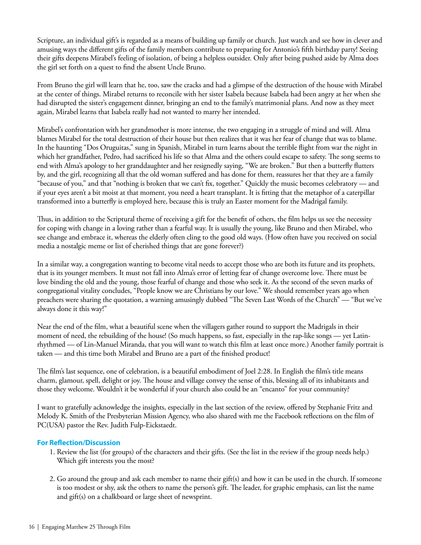Scripture, an individual gift's is regarded as a means of building up family or church. Just watch and see how in clever and amusing ways the different gifts of the family members contribute to preparing for Antonio's fifth birthday party! Seeing their gifts deepens Mirabel's feeling of isolation, of being a helpless outsider. Only after being pushed aside by Alma does the girl set forth on a quest to find the absent Uncle Bruno.

From Bruno the girl will learn that he, too, saw the cracks and had a glimpse of the destruction of the house with Mirabel at the center of things. Mirabel returns to reconcile with her sister Isabela because Isabela had been angry at her when she had disrupted the sister's engagement dinner, bringing an end to the family's matrimonial plans. And now as they meet again, Mirabel learns that Isabela really had not wanted to marry her intended.

Mirabel's confrontation with her grandmother is more intense, the two engaging in a struggle of mind and will. Alma blames Mirabel for the total destruction of their house but then realizes that it was her fear of change that was to blame. In the haunting "Dos Oruguitas," sung in Spanish, Mirabel in turn learns about the terrible flight from war the night in which her grandfather, Pedro, had sacrificed his life so that Alma and the others could escape to safety. The song seems to end with Alma's apology to her granddaughter and her resignedly saying, "We are broken." But then a butterfly flutters by, and the girl, recognizing all that the old woman suffered and has done for them, reassures her that they are a family "because of you," and that "nothing is broken that we can't fix, together." Quickly the music becomes celebratory — and if your eyes aren't a bit moist at that moment, you need a heart transplant. It is fitting that the metaphor of a caterpillar transformed into a butterfly is employed here, because this is truly an Easter moment for the Madrigal family.

Thus, in addition to the Scriptural theme of receiving a gift for the benefit of others, the film helps us see the necessity for coping with change in a loving rather than a fearful way. It is usually the young, like Bruno and then Mirabel, who see change and embrace it, whereas the elderly often cling to the good old ways. (How often have you received on social media a nostalgic meme or list of cherished things that are gone forever?)

In a similar way, a congregation wanting to become vital needs to accept those who are both its future and its prophets, that is its younger members. It must not fall into Alma's error of letting fear of change overcome love. There must be love binding the old and the young, those fearful of change and those who seek it. As the second of the seven marks of congregational vitality concludes, "People know we are Christians by our love." We should remember years ago when preachers were sharing the quotation, a warning amusingly dubbed "The Seven Last Words of the Church" — "But we've always done it this way!"

Near the end of the film, what a beautiful scene when the villagers gather round to support the Madrigals in their moment of need, the rebuilding of the house! (So much happens, so fast, especially in the rap-like songs — yet Latinrhythmed — of Lin-Manuel Miranda, that you will want to watch this film at least once more.) Another family portrait is taken — and this time both Mirabel and Bruno are a part of the finished product!

The film's last sequence, one of celebration, is a beautiful embodiment of Joel 2:28. In English the film's title means charm, glamour, spell, delight or joy. The house and village convey the sense of this, blessing all of its inhabitants and those they welcome. Wouldn't it be wonderful if your church also could be an "encanto" for your community?

I want to gratefully acknowledge the insights, especially in the last section of the review, offered by Stephanie Fritz and Melody K. Smith of the Presbyterian Mission Agency, who also shared with me the Facebook reflections on the film of PC(USA) pastor the Rev. Judith Fulp-Eickstaedt.

- 1. Review the list (for groups) of the characters and their gifts. (See the list in the review if the group needs help.) Which gift interests you the most?
- 2. Go around the group and ask each member to name their gift(s) and how it can be used in the church. If someone is too modest or shy, ask the others to name the person's gift. The leader, for graphic emphasis, can list the name and gift(s) on a chalkboard or large sheet of newsprint.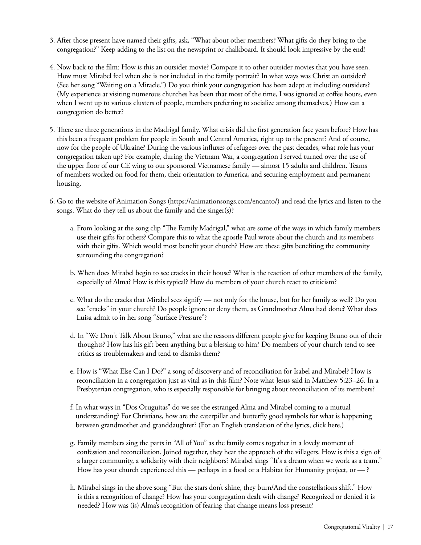- 3. After those present have named their gifts, ask, "What about other members? What gifts do they bring to the congregation?" Keep adding to the list on the newsprint or chalkboard. It should look impressive by the end!
- 4. Now back to the film: How is this an outsider movie? Compare it to other outsider movies that you have seen. How must Mirabel feel when she is not included in the family portrait? In what ways was Christ an outsider? (See her song "Waiting on a Miracle.") Do you think your congregation has been adept at including outsiders? (My experience at visiting numerous churches has been that most of the time, I was ignored at coffee hours, even when I went up to various clusters of people, members preferring to socialize among themselves.) How can a congregation do better?
- 5. There are three generations in the Madrigal family. What crisis did the first generation face years before? How has this been a frequent problem for people in South and Central America, right up to the present? And of course, now for the people of Ukraine? During the various influxes of refugees over the past decades, what role has your congregation taken up? For example, during the Vietnam War, a congregation I served turned over the use of the upper floor of our CE wing to our sponsored Vietnamese family — almost 15 adults and children. Teams of members worked on food for them, their orientation to America, and securing employment and permanent housing.
- 6. Go to the website of Animation Songs (https://animationsongs.com/encanto/) and read the lyrics and listen to the songs. What do they tell us about the family and the singer(s)?
	- a. From looking at the song clip "The Family Madrigal," what are some of the ways in which family members use their gifts for others? Compare this to what the apostle Paul wrote about the church and its members with their gifts. Which would most benefit your church? How are these gifts benefiting the community surrounding the congregation?
	- b. When does Mirabel begin to see cracks in their house? What is the reaction of other members of the family, especially of Alma? How is this typical? How do members of your church react to criticism?
	- c. What do the cracks that Mirabel sees signify not only for the house, but for her family as well? Do you see "cracks" in your church? Do people ignore or deny them, as Grandmother Alma had done? What does Luisa admit to in her song "Surface Pressure"?
	- d. In "We Don't Talk About Bruno," what are the reasons different people give for keeping Bruno out of their thoughts? How has his gift been anything but a blessing to him? Do members of your church tend to see critics as troublemakers and tend to dismiss them?
	- e. How is "What Else Can I Do?" a song of discovery and of reconciliation for Isabel and Mirabel? How is reconciliation in a congregation just as vital as in this film? Note what Jesus said in Matthew 5:23–26. In a Presbyterian congregation, who is especially responsible for bringing about reconciliation of its members?
	- f. In what ways in "Dos Oruguitas" do we see the estranged Alma and Mirabel coming to a mutual understanding? For Christians, how are the caterpillar and butterfly good symbols for what is happening between grandmother and granddaughter? (For an English translation of the lyrics, click here.)
	- g. Family members sing the parts in "All of You" as the family comes together in a lovely moment of confession and reconciliation. Joined together, they hear the approach of the villagers. How is this a sign of a larger community, a solidarity with their neighbors? Mirabel sings "It's a dream when we work as a team." How has your church experienced this — perhaps in a food or a Habitat for Humanity project, or  $\rightarrow$  ?
	- h. Mirabel sings in the above song "But the stars don't shine, they burn/And the constellations shift." How is this a recognition of change? How has your congregation dealt with change? Recognized or denied it is needed? How was (is) Alma's recognition of fearing that change means loss present?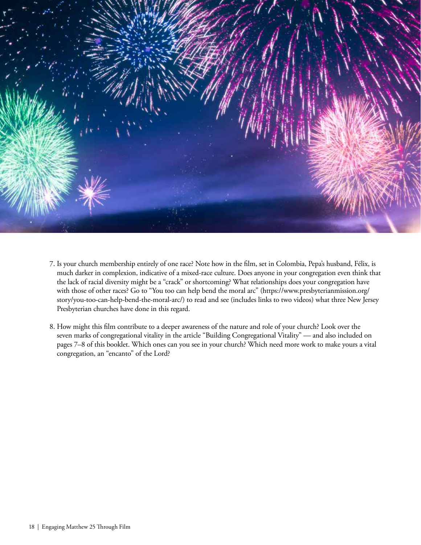

- 7. Is your church membership entirely of one race? Note how in the film, set in Colombia, Pepa's husband, Félix, is much darker in complexion, indicative of a mixed-race culture. Does anyone in your congregation even think that the lack of racial diversity might be a "crack" or shortcoming? What relationships does your congregation have with those of other races? Go to "You too can help bend the moral arc" (https://www.presbyterianmission.org/ story/you-too-can-help-bend-the-moral-arc/) to read and see (includes links to two videos) what three New Jersey Presbyterian churches have done in this regard.
- 8. How might this film contribute to a deeper awareness of the nature and role of your church? Look over the seven marks of congregational vitality in the article "Building Congregational Vitality" — and also included on pages 7–8 of this booklet. Which ones can you see in your church? Which need more work to make yours a vital congregation, an "encanto" of the Lord?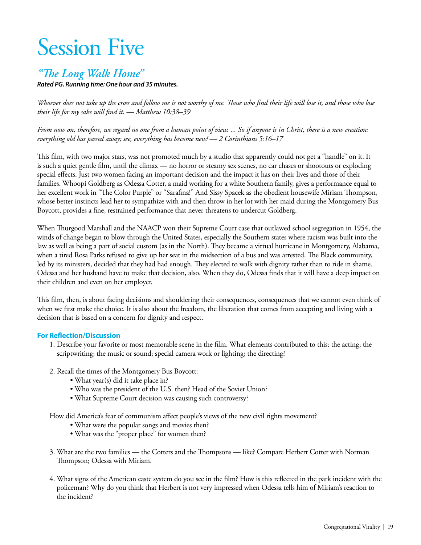# Session Five

### *"The Long Walk Home"*

*Rated PG. Running time: One hour and 35 minutes.*

*Whoever does not take up the cross and follow me is not worthy of me. Those who find their life will lose it, and those who lose their life for my sake will find it. — Matthew 10:38–39* 

*From now on, therefore, we regard no one from a human point of view. ... So if anyone is in Christ, there is a new creation: everything old has passed away; see, everything has become new! — 2 Corinthians 5:16–17* 

This film, with two major stars, was not promoted much by a studio that apparently could not get a "handle" on it. It is such a quiet gentle film, until the climax — no horror or steamy sex scenes, no car chases or shootouts or exploding special effects. Just two women facing an important decision and the impact it has on their lives and those of their families. Whoopi Goldberg as Odessa Cotter, a maid working for a white Southern family, gives a performance equal to her excellent work in "The Color Purple" or "Sarafina!" And Sissy Spacek as the obedient housewife Miriam Thompson, whose better instincts lead her to sympathize with and then throw in her lot with her maid during the Montgomery Bus Boycott, provides a fine, restrained performance that never threatens to undercut Goldberg.

When Thurgood Marshall and the NAACP won their Supreme Court case that outlawed school segregation in 1954, the winds of change began to blow through the United States, especially the Southern states where racism was built into the law as well as being a part of social custom (as in the North). They became a virtual hurricane in Montgomery, Alabama, when a tired Rosa Parks refused to give up her seat in the midsection of a bus and was arrested. The Black community, led by its ministers, decided that they had had enough. They elected to walk with dignity rather than to ride in shame. Odessa and her husband have to make that decision, also. When they do, Odessa finds that it will have a deep impact on their children and even on her employer.

This film, then, is about facing decisions and shouldering their consequences, consequences that we cannot even think of when we first make the choice. It is also about the freedom, the liberation that comes from accepting and living with a decision that is based on a concern for dignity and respect.

#### **For Reflection/Discussion**

- 1. Describe your favorite or most memorable scene in the film. What elements contributed to this: the acting; the scriptwriting; the music or sound; special camera work or lighting; the directing?
- 2. Recall the times of the Montgomery Bus Boycott:
	- What year(s) did it take place in?
	- Who was the president of the U.S. then? Head of the Soviet Union?
	- What Supreme Court decision was causing such controversy?

How did America's fear of communism affect people's views of the new civil rights movement?

- What were the popular songs and movies then?
- What was the "proper place" for women then?
- 3. What are the two families the Cotters and the Thompsons like? Compare Herbert Cotter with Norman Thompson; Odessa with Miriam.
- 4. What signs of the American caste system do you see in the film? How is this reflected in the park incident with the policeman? Why do you think that Herbert is not very impressed when Odessa tells him of Miriam's reaction to the incident?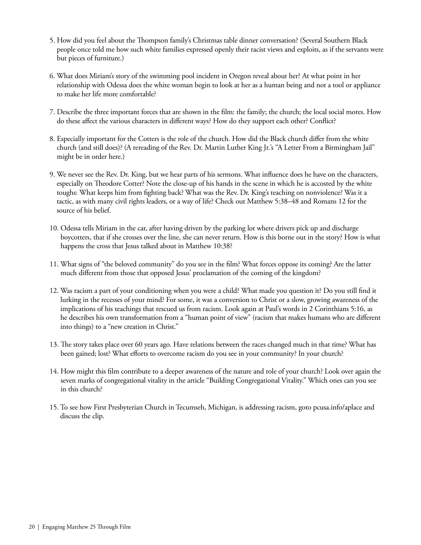- 5. How did you feel about the Thompson family's Christmas table dinner conversation? (Several Southern Black people once told me how such white families expressed openly their racist views and exploits, as if the servants were but pieces of furniture.)
- 6. What does Miriam's story of the swimming pool incident in Oregon reveal about her? At what point in her relationship with Odessa does the white woman begin to look at her as a human being and not a tool or appliance to make her life more comfortable?
- 7. Describe the three important forces that are shown in the film: the family; the church; the local social mores. How do these affect the various characters in different ways? How do they support each other? Conflict?
- 8. Especially important for the Cotters is the role of the church. How did the Black church differ from the white church (and still does)? (A rereading of the Rev. Dr. Martin Luther King Jr.'s "A Letter From a Birmingham Jail" might be in order here.)
- 9. We never see the Rev. Dr. King, but we hear parts of his sermons. What influence does he have on the characters, especially on Theodore Cotter? Note the close-up of his hands in the scene in which he is accosted by the white toughs: What keeps him from fighting back? What was the Rev. Dr. King's teaching on nonviolence? Was it a tactic, as with many civil rights leaders, or a way of life? Check out Matthew 5:38–48 and Romans 12 for the source of his belief.
- 10. Odessa tells Miriam in the car, after having driven by the parking lot where drivers pick up and discharge boycotters, that if she crosses over the line, she can never return. How is this borne out in the story? How is what happens the cross that Jesus talked about in Matthew 10:38?
- 11. What signs of "the beloved community" do you see in the film? What forces oppose its coming? Are the latter much different from those that opposed Jesus' proclamation of the coming of the kingdom?
- 12. Was racism a part of your conditioning when you were a child? What made you question it? Do you still find it lurking in the recesses of your mind? For some, it was a conversion to Christ or a slow, growing awareness of the implications of his teachings that rescued us from racism. Look again at Paul's words in 2 Corinthians 5:16, as he describes his own transformation from a "human point of view" (racism that makes humans who are different into things) to a "new creation in Christ."
- 13. The story takes place over 60 years ago. Have relations between the races changed much in that time? What has been gained; lost? What efforts to overcome racism do you see in your community? In your church?
- 14. How might this film contribute to a deeper awareness of the nature and role of your church? Look over again the seven marks of congregational vitality in the article "Building Congregational Vitality." Which ones can you see in this church?
- 15. To see how First Presbyterian Church in Tecumseh, Michigan, is addressing racism, goto pcusa.info/aplace and discuss the clip.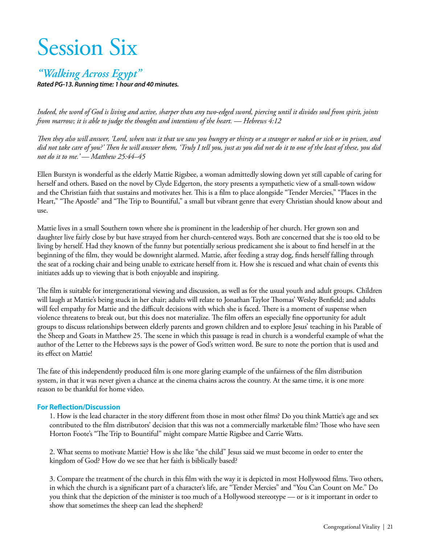# Session Six

### *"Walking Across Egypt"*

*Rated PG-13. Running time: 1 hour and 40 minutes.* 

*Indeed, the word of God is living and active, sharper than any two-edged sword, piercing until it divides soul from spirit, joints from marrow; it is able to judge the thoughts and intentions of the heart. — Hebrews 4:12*

*Then they also will answer, 'Lord, when was it that we saw you hungry or thirsty or a stranger or naked or sick or in prison, and did not take care of you?' Then he will answer them, 'Truly I tell you, just as you did not do it to one of the least of these, you did not do it to me.' — Matthew 25:44–45*

Ellen Burstyn is wonderful as the elderly Mattie Rigsbee, a woman admittedly slowing down yet still capable of caring for herself and others. Based on the novel by Clyde Edgerton, the story presents a sympathetic view of a small-town widow and the Christian faith that sustains and motivates her. This is a film to place alongside "Tender Mercies," "Places in the Heart," "The Apostle" and "The Trip to Bountiful," a small but vibrant genre that every Christian should know about and use.

Mattie lives in a small Southern town where she is prominent in the leadership of her church. Her grown son and daughter live fairly close by but have strayed from her church-centered ways. Both are concerned that she is too old to be living by herself. Had they known of the funny but potentially serious predicament she is about to find herself in at the beginning of the film, they would be downright alarmed. Mattie, after feeding a stray dog, finds herself falling through the seat of a rocking chair and being unable to extricate herself from it. How she is rescued and what chain of events this initiates adds up to viewing that is both enjoyable and inspiring.

The film is suitable for intergenerational viewing and discussion, as well as for the usual youth and adult groups. Children will laugh at Mattie's being stuck in her chair; adults will relate to Jonathan Taylor Thomas' Wesley Benfield; and adults will feel empathy for Mattie and the difficult decisions with which she is faced. There is a moment of suspense when violence threatens to break out, but this does not materialize. The film offers an especially fine opportunity for adult groups to discuss relationships between elderly parents and grown children and to explore Jesus' teaching in his Parable of the Sheep and Goats in Matthew 25. The scene in which this passage is read in church is a wonderful example of what the author of the Letter to the Hebrews says is the power of God's written word. Be sure to note the portion that is used and its effect on Mattie!

The fate of this independently produced film is one more glaring example of the unfairness of the film distribution system, in that it was never given a chance at the cinema chains across the country. At the same time, it is one more reason to be thankful for home video.

#### **For Reflection/Discussion**

1. How is the lead character in the story different from those in most other films? Do you think Mattie's age and sex contributed to the film distributors' decision that this was not a commercially marketable film? Those who have seen Horton Foote's "The Trip to Bountiful" might compare Mattie Rigsbee and Carrie Watts.

2. What seems to motivate Mattie? How is she like "the child" Jesus said we must become in order to enter the kingdom of God? How do we see that her faith is biblically based?

3. Compare the treatment of the church in this film with the way it is depicted in most Hollywood films. Two others, in which the church is a significant part of a character's life, are "Tender Mercies" and "You Can Count on Me." Do you think that the depiction of the minister is too much of a Hollywood stereotype — or is it important in order to show that sometimes the sheep can lead the shepherd?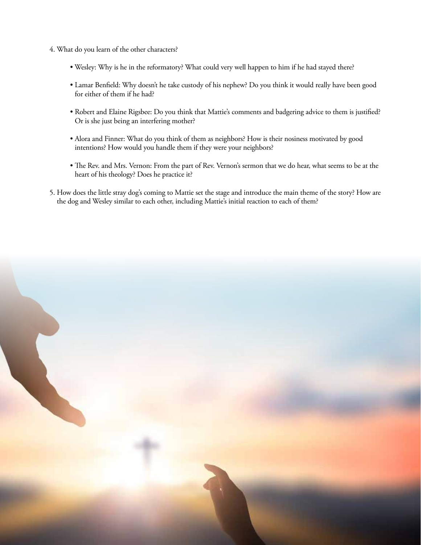- 4. What do you learn of the other characters?
	- Wesley: Why is he in the reformatory? What could very well happen to him if he had stayed there?
	- Lamar Benfield: Why doesn't he take custody of his nephew? Do you think it would really have been good for either of them if he had?
	- Robert and Elaine Rigsbee: Do you think that Mattie's comments and badgering advice to them is justified? Or is she just being an interfering mother?
	- Alora and Finner: What do you think of them as neighbors? How is their nosiness motivated by good intentions? How would you handle them if they were your neighbors?
	- The Rev. and Mrs. Vernon: From the part of Rev. Vernon's sermon that we do hear, what seems to be at the heart of his theology? Does he practice it?
- 5. How does the little stray dog's coming to Mattie set the stage and introduce the main theme of the story? How are the dog and Wesley similar to each other, including Mattie's initial reaction to each of them?

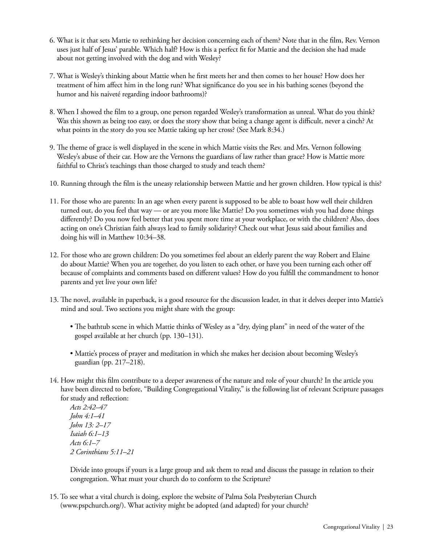- 6. What is it that sets Mattie to rethinking her decision concerning each of them? Note that in the film, Rev. Vernon uses just half of Jesus' parable. Which half? How is this a perfect fit for Mattie and the decision she had made about not getting involved with the dog and with Wesley?
- 7. What is Wesley's thinking about Mattie when he first meets her and then comes to her house? How does her treatment of him affect him in the long run? What significance do you see in his bathing scenes (beyond the humor and his naiveté regarding indoor bathrooms)?
- 8. When I showed the film to a group, one person regarded Wesley's transformation as unreal. What do you think? Was this shown as being too easy, or does the story show that being a change agent is difficult, never a cinch? At what points in the story do you see Mattie taking up her cross? (See Mark 8:34.)
- 9. The theme of grace is well displayed in the scene in which Mattie visits the Rev. and Mrs. Vernon following Wesley's abuse of their car. How are the Vernons the guardians of law rather than grace? How is Mattie more faithful to Christ's teachings than those charged to study and teach them?
- 10. Running through the film is the uneasy relationship between Mattie and her grown children. How typical is this?
- 11. For those who are parents: In an age when every parent is supposed to be able to boast how well their children turned out, do you feel that way — or are you more like Mattie? Do you sometimes wish you had done things differently? Do you now feel better that you spent more time at your workplace, or with the children? Also, does acting on one's Christian faith always lead to family solidarity? Check out what Jesus said about families and doing his will in Matthew 10:34–38.
- 12. For those who are grown children: Do you sometimes feel about an elderly parent the way Robert and Elaine do about Mattie? When you are together, do you listen to each other, or have you been turning each other off because of complaints and comments based on different values? How do you fulfill the commandment to honor parents and yet live your own life?
- 13. The novel, available in paperback, is a good resource for the discussion leader, in that it delves deeper into Mattie's mind and soul. Two sections you might share with the group:
	- The bathtub scene in which Mattie thinks of Wesley as a "dry, dying plant" in need of the water of the gospel available at her church (pp. 130–131).
	- Mattie's process of prayer and meditation in which she makes her decision about becoming Wesley's guardian (pp. 217–218).
- 14. How might this film contribute to a deeper awareness of the nature and role of your church? In the article you have been directed to before, "Building Congregational Vitality," is the following list of relevant Scripture passages for study and reflection:

*Acts 2:42–47 John 4:1–41 John 13: 2–17 Isaiah 6:1–13 Acts 6:1–7 2 Corinthians 5:11–21*

 Divide into groups if yours is a large group and ask them to read and discuss the passage in relation to their congregation. What must your church do to conform to the Scripture?

15. To see what a vital church is doing, explore the website of Palma Sola Presbyterian Church (www.pspchurch.org/). What activity might be adopted (and adapted) for your church?